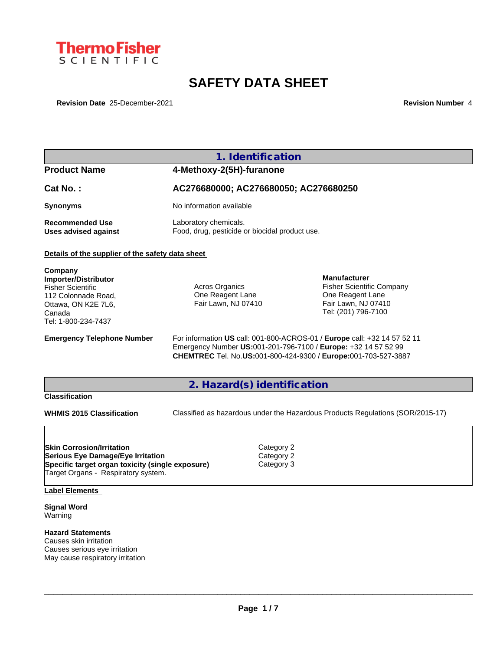

# **SAFETY DATA SHEET**

**Revision Date** 25-December-2021 **Revision Number** 4

|                                                                                                                                                                  | 1. Identification                                                       |                                        |                                                                                                                                            |
|------------------------------------------------------------------------------------------------------------------------------------------------------------------|-------------------------------------------------------------------------|----------------------------------------|--------------------------------------------------------------------------------------------------------------------------------------------|
| <b>Product Name</b>                                                                                                                                              | 4-Methoxy-2(5H)-furanone                                                |                                        |                                                                                                                                            |
| Cat No.:                                                                                                                                                         | AC276680000; AC276680050; AC276680250                                   |                                        |                                                                                                                                            |
| <b>Synonyms</b>                                                                                                                                                  | No information available                                                |                                        |                                                                                                                                            |
| <b>Recommended Use</b><br><b>Uses advised against</b>                                                                                                            | Laboratory chemicals.<br>Food, drug, pesticide or biocidal product use. |                                        |                                                                                                                                            |
| Details of the supplier of the safety data sheet                                                                                                                 |                                                                         |                                        |                                                                                                                                            |
| Company<br><b>Importer/Distributor</b><br><b>Fisher Scientific</b><br>112 Colonnade Road,<br>Ottawa, ON K2E 7L6,<br>Canada<br>Tel: 1-800-234-7437                | Acros Organics<br>One Reagent Lane<br>Fair Lawn, NJ 07410               |                                        | <b>Manufacturer</b><br><b>Fisher Scientific Company</b><br>One Reagent Lane<br>Fair Lawn, NJ 07410<br>Tel: (201) 796-7100                  |
| <b>Emergency Telephone Number</b>                                                                                                                                | Emergency Number US:001-201-796-7100 / Europe: +32 14 57 52 99          |                                        | For information US call: 001-800-ACROS-01 / Europe call: +32 14 57 52 11<br>CHEMTREC Tel. No.US:001-800-424-9300 / Europe:001-703-527-3887 |
|                                                                                                                                                                  | 2. Hazard(s) identification                                             |                                        |                                                                                                                                            |
| <b>Classification</b>                                                                                                                                            |                                                                         |                                        |                                                                                                                                            |
| <b>WHMIS 2015 Classification</b>                                                                                                                                 |                                                                         |                                        | Classified as hazardous under the Hazardous Products Regulations (SOR/2015-17)                                                             |
| <b>Skin Corrosion/Irritation</b><br>Serious Eye Damage/Eye Irritation<br>Specific target organ toxicity (single exposure)<br>Target Organs - Respiratory system. |                                                                         | Category 2<br>Category 2<br>Category 3 |                                                                                                                                            |
| <b>Label Elements</b>                                                                                                                                            |                                                                         |                                        |                                                                                                                                            |
| <b>Signal Word</b><br>Warning                                                                                                                                    |                                                                         |                                        |                                                                                                                                            |
| <b>Hazard Statements</b><br>Causes skin irritation<br>Causes serious eye irritation<br>May cause respiratory irritation                                          |                                                                         |                                        |                                                                                                                                            |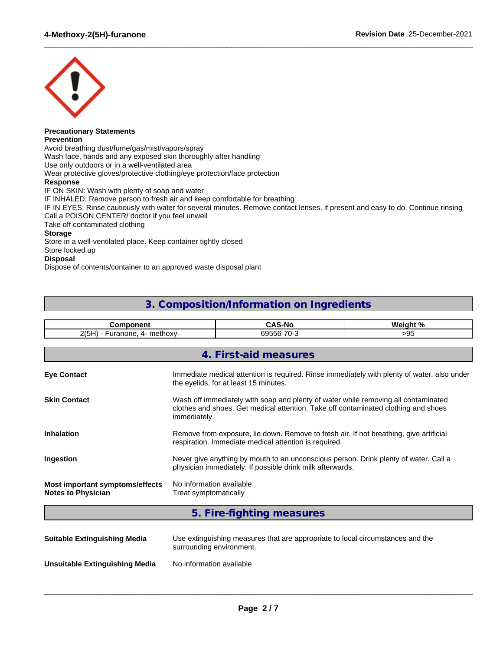

#### **Precautionary Statements Prevention**

Avoid breathing dust/fume/gas/mist/vapors/spray Wash face, hands and any exposed skin thoroughly after handling

Use only outdoors or in a well-ventilated area

Wear protective gloves/protective clothing/eye protection/face protection

### **Response**

IF ON SKIN: Wash with plenty of soap and water IF INHALED: Remove person to fresh air and keep comfortable for breathing IF IN EYES: Rinse cautiously with water for several minutes. Remove contact lenses, if present and easy to do. Continue rinsing Call a POISON CENTER/ doctor if you feel unwell Take off contaminated clothing **Storage** Store in a well-ventilated place. Keep container tightly closed Store locked up **Disposal**

 $\_$  ,  $\_$  ,  $\_$  ,  $\_$  ,  $\_$  ,  $\_$  ,  $\_$  ,  $\_$  ,  $\_$  ,  $\_$  ,  $\_$  ,  $\_$  ,  $\_$  ,  $\_$  ,  $\_$  ,  $\_$  ,  $\_$  ,  $\_$  ,  $\_$  ,  $\_$  ,  $\_$  ,  $\_$  ,  $\_$  ,  $\_$  ,  $\_$  ,  $\_$  ,  $\_$  ,  $\_$  ,  $\_$  ,  $\_$  ,  $\_$  ,  $\_$  ,  $\_$  ,  $\_$  ,  $\_$  ,  $\_$  ,  $\_$  ,

Dispose of contents/container to an approved waste disposal plant

### **3. Composition/Information on Ingredients**

| <b>Component</b>                                             |                                                                                                                                                                                          | <b>CAS-No</b>             | Weight % |  |
|--------------------------------------------------------------|------------------------------------------------------------------------------------------------------------------------------------------------------------------------------------------|---------------------------|----------|--|
| 2(5H) - Furanone, 4- methoxy-                                |                                                                                                                                                                                          | 69556-70-3                | >95      |  |
|                                                              |                                                                                                                                                                                          | 4. First-aid measures     |          |  |
|                                                              |                                                                                                                                                                                          |                           |          |  |
| <b>Eye Contact</b>                                           | Immediate medical attention is required. Rinse immediately with plenty of water, also under<br>the eyelids, for at least 15 minutes.                                                     |                           |          |  |
| <b>Skin Contact</b>                                          | Wash off immediately with soap and plenty of water while removing all contaminated<br>clothes and shoes. Get medical attention. Take off contaminated clothing and shoes<br>immediately. |                           |          |  |
| <b>Inhalation</b>                                            | Remove from exposure, lie down. Remove to fresh air. If not breathing, give artificial<br>respiration. Immediate medical attention is required.                                          |                           |          |  |
| Ingestion                                                    | Never give anything by mouth to an unconscious person. Drink plenty of water. Call a<br>physician immediately. If possible drink milk afterwards.                                        |                           |          |  |
| Most important symptoms/effects<br><b>Notes to Physician</b> | No information available.<br>Treat symptomatically                                                                                                                                       |                           |          |  |
|                                                              |                                                                                                                                                                                          | 5. Fire-fighting measures |          |  |

| <b>Suitable Extinguishing Media</b> | Use extinguishing measures that are appropriate to local circumstances and the<br>surrounding environment. |
|-------------------------------------|------------------------------------------------------------------------------------------------------------|
| Unsuitable Extinguishing Media      | No information available                                                                                   |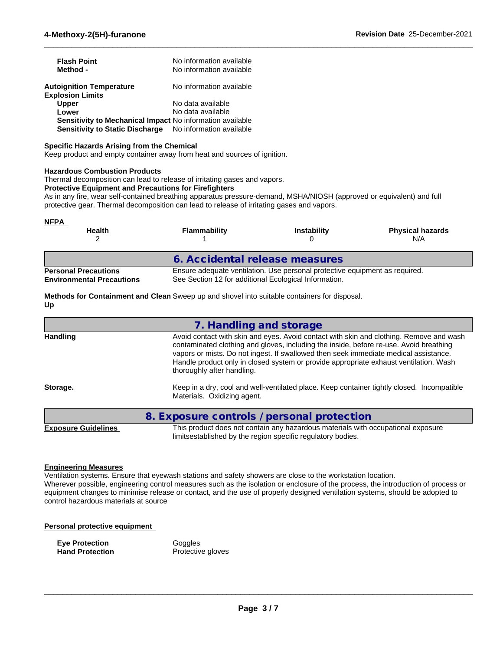| <b>Flash Point</b><br>Method -                                                                      | No information available<br>No information available |
|-----------------------------------------------------------------------------------------------------|------------------------------------------------------|
| <b>Autoignition Temperature</b><br><b>Explosion Limits</b>                                          | No information available                             |
| <b>Upper</b>                                                                                        | No data available                                    |
| Lower                                                                                               | No data available                                    |
| Sensitivity to Mechanical Impact No information available<br><b>Sensitivity to Static Discharge</b> | No information available                             |

### **Specific Hazards Arising from the Chemical**

Keep product and empty container away from heat and sources of ignition.

### **Hazardous Combustion Products**

Thermal decomposition can lead to release of irritating gases and vapors.

### **Protective Equipment and Precautions for Firefighters**

As in any fire, wear self-contained breathing apparatus pressure-demand, MSHA/NIOSH (approved or equivalent) and full protective gear. Thermal decomposition can lead to release of irritating gases and vapors.

 $\_$  ,  $\_$  ,  $\_$  ,  $\_$  ,  $\_$  ,  $\_$  ,  $\_$  ,  $\_$  ,  $\_$  ,  $\_$  ,  $\_$  ,  $\_$  ,  $\_$  ,  $\_$  ,  $\_$  ,  $\_$  ,  $\_$  ,  $\_$  ,  $\_$  ,  $\_$  ,  $\_$  ,  $\_$  ,  $\_$  ,  $\_$  ,  $\_$  ,  $\_$  ,  $\_$  ,  $\_$  ,  $\_$  ,  $\_$  ,  $\_$  ,  $\_$  ,  $\_$  ,  $\_$  ,  $\_$  ,  $\_$  ,  $\_$  ,

| <b>NFPA</b><br><b>Health</b>                                    | <b>Flammability</b>                                   | <b>Instability</b>                                                          | <b>Physical hazards</b><br>N/A |
|-----------------------------------------------------------------|-------------------------------------------------------|-----------------------------------------------------------------------------|--------------------------------|
|                                                                 | 6. Accidental release measures                        |                                                                             |                                |
| <b>Personal Precautions</b><br><b>Environmental Precautions</b> | See Section 12 for additional Ecological Information. | Ensure adequate ventilation. Use personal protective equipment as required. |                                |

**Methods for Containment and Clean** Sweep up and shovel into suitable containers for disposal. **Up**

|                            | 7. Handling and storage                                                                                                                                                                                                                                                                                                                                                                          |
|----------------------------|--------------------------------------------------------------------------------------------------------------------------------------------------------------------------------------------------------------------------------------------------------------------------------------------------------------------------------------------------------------------------------------------------|
| <b>Handling</b>            | Avoid contact with skin and eyes. Avoid contact with skin and clothing. Remove and wash<br>contaminated clothing and gloves, including the inside, before re-use. Avoid breathing<br>vapors or mists. Do not ingest. If swallowed then seek immediate medical assistance.<br>Handle product only in closed system or provide appropriate exhaust ventilation. Wash<br>thoroughly after handling. |
| Storage.                   | Keep in a dry, cool and well-ventilated place. Keep container tightly closed. Incompatible<br>Materials. Oxidizing agent.                                                                                                                                                                                                                                                                        |
|                            | 8. Exposure controls / personal protection                                                                                                                                                                                                                                                                                                                                                       |
| <b>Exposure Guidelines</b> | This product does not contain any hazardous materials with occupational exposure<br>limitsestablished by the region specific regulatory bodies.                                                                                                                                                                                                                                                  |

### **Engineering Measures**

Ventilation systems. Ensure that eyewash stations and safety showers are close to the workstation location. Wherever possible, engineering control measures such as the isolation or enclosure of the process, the introduction of process or equipment changes to minimise release or contact, and the use of properly designed ventilation systems, should be adopted to control hazardous materials at source

### **Personal protective equipment**

**Eye Protection**<br> **Example 20 Hand Protection**<br> **Protection** 

**Protective gloves**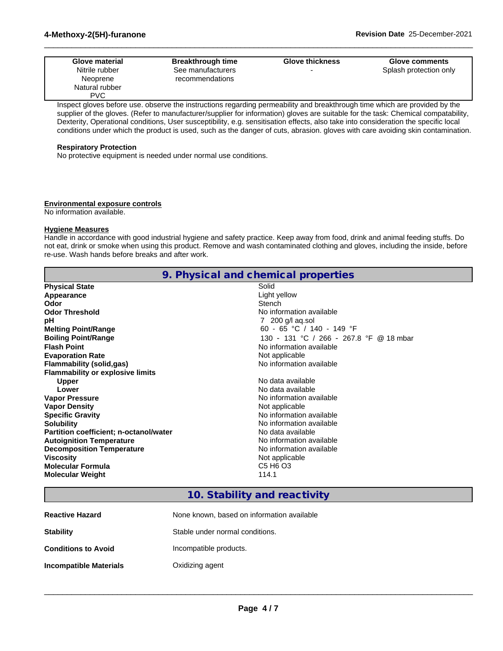| <b>Glove material</b> | <b>Breakthrough time</b> | <b>Glove thickness</b> | <b>Glove comments</b>  |
|-----------------------|--------------------------|------------------------|------------------------|
| Nitrile rubber        | See manufacturers        |                        | Splash protection only |
| Neoprene              | recommendations          |                        |                        |
| Natural rubber        |                          |                        |                        |
| <b>PVC</b>            |                          |                        |                        |

 $\_$  ,  $\_$  ,  $\_$  ,  $\_$  ,  $\_$  ,  $\_$  ,  $\_$  ,  $\_$  ,  $\_$  ,  $\_$  ,  $\_$  ,  $\_$  ,  $\_$  ,  $\_$  ,  $\_$  ,  $\_$  ,  $\_$  ,  $\_$  ,  $\_$  ,  $\_$  ,  $\_$  ,  $\_$  ,  $\_$  ,  $\_$  ,  $\_$  ,  $\_$  ,  $\_$  ,  $\_$  ,  $\_$  ,  $\_$  ,  $\_$  ,  $\_$  ,  $\_$  ,  $\_$  ,  $\_$  ,  $\_$  ,  $\_$  ,

Inspect gloves before use. observe the instructions regarding permeability and breakthrough time which are provided by the supplier of the gloves. (Refer to manufacturer/supplier for information) gloves are suitable for the task: Chemical compatability, Dexterity, Operational conditions, User susceptibility, e.g. sensitisation effects, also take into consideration the specific local conditions under which the product is used, such as the danger of cuts, abrasion. gloves with care avoiding skin contamination.

### **Respiratory Protection**

No protective equipment is needed under normal use conditions.

### **Environmental exposure controls**

No information available.

### **Hygiene Measures**

Handle in accordance with good industrial hygiene and safety practice. Keep away from food, drink and animal feeding stuffs. Do not eat, drink or smoke when using this product. Remove and wash contaminated clothing and gloves, including the inside, before re-use. Wash hands before breaks and after work.

|                                               | 9. Physical and chemical properties          |
|-----------------------------------------------|----------------------------------------------|
| <b>Physical State</b>                         | Solid                                        |
| Appearance                                    | Light yellow                                 |
| Odor                                          | Stench                                       |
| <b>Odor Threshold</b>                         | No information available                     |
| рH                                            | 7 200 g/l ag.sol                             |
| <b>Melting Point/Range</b>                    | 60 - 65 °C / 140 - 149 °F                    |
| <b>Boiling Point/Range</b>                    | 130 - 131 °C / 266 - 267.8 °F @ 18 mbar      |
| <b>Flash Point</b>                            | No information available                     |
| <b>Evaporation Rate</b>                       | Not applicable                               |
| <b>Flammability (solid,gas)</b>               | No information available                     |
| <b>Flammability or explosive limits</b>       |                                              |
| <b>Upper</b>                                  | No data available                            |
| Lower                                         | No data available                            |
| <b>Vapor Pressure</b>                         | No information available                     |
| <b>Vapor Density</b>                          | Not applicable                               |
| <b>Specific Gravity</b>                       | No information available                     |
| <b>Solubility</b>                             | No information available                     |
| <b>Partition coefficient; n-octanol/water</b> | No data available                            |
| <b>Autoignition Temperature</b>               | No information available                     |
| <b>Decomposition Temperature</b>              | No information available                     |
| <b>Viscosity</b>                              | Not applicable                               |
| <b>Molecular Formula</b>                      | C <sub>5</sub> H <sub>6</sub> O <sub>3</sub> |
| <b>Molecular Weight</b>                       | 114.1                                        |

### **10. Stability and reactivity**

| <b>Reactive Hazard</b>     | None known, based on information available |
|----------------------------|--------------------------------------------|
| <b>Stability</b>           | Stable under normal conditions.            |
| <b>Conditions to Avoid</b> | Incompatible products.                     |
| Incompatible Materials     | Oxidizing agent                            |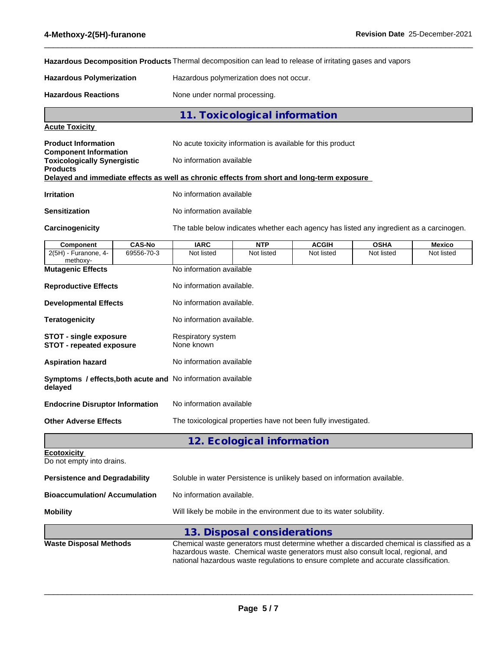**Hazardous Decomposition Products** Thermal decomposition can lead to release of irritating gases and vapors

**Hazardous Polymerization** Hazardous polymerization does not occur.

Hazardous Reactions **None under normal processing**.

| 11. Toxicological information |  |
|-------------------------------|--|
|-------------------------------|--|

 $\_$  ,  $\_$  ,  $\_$  ,  $\_$  ,  $\_$  ,  $\_$  ,  $\_$  ,  $\_$  ,  $\_$  ,  $\_$  ,  $\_$  ,  $\_$  ,  $\_$  ,  $\_$  ,  $\_$  ,  $\_$  ,  $\_$  ,  $\_$  ,  $\_$  ,  $\_$  ,  $\_$  ,  $\_$  ,  $\_$  ,  $\_$  ,  $\_$  ,  $\_$  ,  $\_$  ,  $\_$  ,  $\_$  ,  $\_$  ,  $\_$  ,  $\_$  ,  $\_$  ,  $\_$  ,  $\_$  ,  $\_$  ,  $\_$  ,

### **Acute Toxicity**

| <b>Product Information</b><br><b>Component Information</b> | No acute toxicity information is available for this product                                |
|------------------------------------------------------------|--------------------------------------------------------------------------------------------|
| <b>Toxicologically Synergistic</b><br><b>Products</b>      | No information available                                                                   |
|                                                            | Delayed and immediate effects as well as chronic effects from short and long-term exposure |
| <b>Irritation</b>                                          | No information available                                                                   |

**Sensitization** No information available

**Carcinogenicity** The table below indicateswhether each agency has listed any ingredient as a carcinogen.

| Component                                                 | <b>CAS-No</b> | <b>IARC</b>                                                                                                                                                                                                               | <b>NTP</b>                                                                                                                                                                                                                                                            | <b>ACGIH</b> | <b>OSHA</b> | <b>Mexico</b> |  |
|-----------------------------------------------------------|---------------|---------------------------------------------------------------------------------------------------------------------------------------------------------------------------------------------------------------------------|-----------------------------------------------------------------------------------------------------------------------------------------------------------------------------------------------------------------------------------------------------------------------|--------------|-------------|---------------|--|
| 2(5H) - Furanone, 4-<br>methoxy-                          | 69556-70-3    | Not listed                                                                                                                                                                                                                | Not listed                                                                                                                                                                                                                                                            | Not listed   | Not listed  | Not listed    |  |
| <b>Mutagenic Effects</b>                                  |               | No information available                                                                                                                                                                                                  |                                                                                                                                                                                                                                                                       |              |             |               |  |
| <b>Reproductive Effects</b>                               |               | No information available.                                                                                                                                                                                                 |                                                                                                                                                                                                                                                                       |              |             |               |  |
| <b>Developmental Effects</b>                              |               | No information available.                                                                                                                                                                                                 |                                                                                                                                                                                                                                                                       |              |             |               |  |
| <b>Teratogenicity</b>                                     |               | No information available.                                                                                                                                                                                                 |                                                                                                                                                                                                                                                                       |              |             |               |  |
| <b>STOT - single exposure</b><br>STOT - repeated exposure |               | Respiratory system<br>None known<br>No information available<br>Symptoms / effects, both acute and No information available<br>No information available<br>The toxicological properties have not been fully investigated. |                                                                                                                                                                                                                                                                       |              |             |               |  |
| <b>Aspiration hazard</b>                                  |               |                                                                                                                                                                                                                           |                                                                                                                                                                                                                                                                       |              |             |               |  |
| delayed                                                   |               |                                                                                                                                                                                                                           |                                                                                                                                                                                                                                                                       |              |             |               |  |
| <b>Endocrine Disruptor Information</b>                    |               |                                                                                                                                                                                                                           |                                                                                                                                                                                                                                                                       |              |             |               |  |
| <b>Other Adverse Effects</b>                              |               |                                                                                                                                                                                                                           |                                                                                                                                                                                                                                                                       |              |             |               |  |
|                                                           |               |                                                                                                                                                                                                                           | 12. Ecological information                                                                                                                                                                                                                                            |              |             |               |  |
| <b>Ecotoxicity</b><br>Do not empty into drains.           |               |                                                                                                                                                                                                                           |                                                                                                                                                                                                                                                                       |              |             |               |  |
| <b>Persistence and Degradability</b>                      |               | Soluble in water Persistence is unlikely based on information available.                                                                                                                                                  |                                                                                                                                                                                                                                                                       |              |             |               |  |
| <b>Bioaccumulation/ Accumulation</b>                      |               | No information available.                                                                                                                                                                                                 |                                                                                                                                                                                                                                                                       |              |             |               |  |
| <b>Mobility</b>                                           |               | Will likely be mobile in the environment due to its water solubility.                                                                                                                                                     |                                                                                                                                                                                                                                                                       |              |             |               |  |
|                                                           |               |                                                                                                                                                                                                                           | 13. Disposal considerations                                                                                                                                                                                                                                           |              |             |               |  |
| <b>Waste Disposal Methods</b>                             |               |                                                                                                                                                                                                                           | Chemical waste generators must determine whether a discarded chemical is classified as a<br>hazardous waste. Chemical waste generators must also consult local, regional, and<br>national hazardous waste regulations to ensure complete and accurate classification. |              |             |               |  |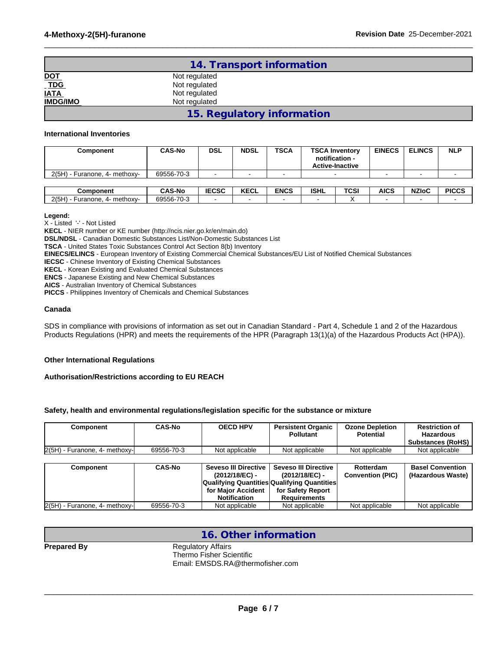|                    | 14. Transport information  |  |
|--------------------|----------------------------|--|
|                    | Not regulated              |  |
| DOT<br>TDG<br>IATA | Not regulated              |  |
|                    | Not regulated              |  |
| <b>IMDG/IMO</b>    | Not regulated              |  |
|                    | 15. Regulatory information |  |

 $\_$  ,  $\_$  ,  $\_$  ,  $\_$  ,  $\_$  ,  $\_$  ,  $\_$  ,  $\_$  ,  $\_$  ,  $\_$  ,  $\_$  ,  $\_$  ,  $\_$  ,  $\_$  ,  $\_$  ,  $\_$  ,  $\_$  ,  $\_$  ,  $\_$  ,  $\_$  ,  $\_$  ,  $\_$  ,  $\_$  ,  $\_$  ,  $\_$  ,  $\_$  ,  $\_$  ,  $\_$  ,  $\_$  ,  $\_$  ,  $\_$  ,  $\_$  ,  $\_$  ,  $\_$  ,  $\_$  ,  $\_$  ,  $\_$  ,

### **International Inventories**

| Component                     | CAS-No     | DSL   | <b>NDSL</b> | <b>TSCA</b> | <b>EINECS</b><br><b>TSCA Inventory</b><br>notification -<br><b>Active-Inactive</b> |             | <b>ELINCS</b> | <b>NLP</b>   |
|-------------------------------|------------|-------|-------------|-------------|------------------------------------------------------------------------------------|-------------|---------------|--------------|
| 2(5H) - Furanone, 4- methoxy- | 69556-70-3 |       |             |             | $\overline{\phantom{0}}$                                                           |             |               |              |
|                               |            |       |             |             |                                                                                    |             |               |              |
| `omnonant                     | CAS-No     | 15050 | KECI        | <b>ENCS</b> | <b>ISHI</b><br><b>TCSI</b>                                                         | <b>AICS</b> | $NZI_0C$      | <b>DICCS</b> |

| Component                      | <b>CAS-No</b> | IFAAA<br>こしコし | I/T<br><b>AL</b><br>יש | <b>ENCS</b> | <b>ISHL</b> | TCSI | <b>AICS</b> | <b>NZIOL</b> | <b>PICCS</b> |
|--------------------------------|---------------|---------------|------------------------|-------------|-------------|------|-------------|--------------|--------------|
| 2(5H)<br>Furanone.<br>methoxy- | 69556-70-3    |               |                        |             |             |      |             |              |              |

#### **Legend:**

X - Listed '-' - Not Listed

**KECL** - NIER number or KE number (http://ncis.nier.go.kr/en/main.do)

**DSL/NDSL** - Canadian Domestic Substances List/Non-Domestic Substances List

**TSCA** - United States Toxic Substances Control Act Section 8(b) Inventory

**EINECS/ELINCS** - European Inventory of Existing Commercial Chemical Substances/EU List of Notified Chemical Substances

**IECSC** - Chinese Inventory of Existing Chemical Substances

**KECL** - Korean Existing and Evaluated Chemical Substances

**ENCS** - Japanese Existing and New Chemical Substances

**AICS** - Australian Inventory of Chemical Substances

**PICCS** - Philippines Inventory of Chemicals and Chemical Substances

### **Canada**

SDS in compliance with provisions of information as set out in Canadian Standard - Part 4, Schedule 1 and 2 of the Hazardous Products Regulations (HPR) and meets the requirements of the HPR (Paragraph 13(1)(a) of the Hazardous Products Act (HPA)).

### **Other International Regulations**

#### **Authorisation/Restrictions according to EU REACH**

### **Safety, health and environmental regulations/legislation specific for the substance or mixture**

| Component                       | <b>CAS-No</b> | <b>OECD HPV</b>                          | <b>Persistent Organic</b><br><b>Pollutant</b> | <b>Ozone Depletion</b><br><b>Potential</b> | <b>Restriction of</b><br><b>Hazardous</b><br>Substances (RoHS) |
|---------------------------------|---------------|------------------------------------------|-----------------------------------------------|--------------------------------------------|----------------------------------------------------------------|
| $2(5H)$ - Furanone, 4- methoxy- | 69556-70-3    | Not applicable                           | Not applicable                                | Not applicable                             | Not applicable                                                 |
|                                 |               |                                          |                                               |                                            |                                                                |
| Component                       | <b>CAS-No</b> | Seveso III Directive  <br>(2012/18/EC) - | <b>Seveso III Directive</b><br>(2012/18/EC) - | Rotterdam<br><b>Convention (PIC)</b>       | <b>Basel Convention</b><br>(Hazardous Waste)                   |
|                                 |               |                                          | Qualifying Quantities Qualifying Quantities   |                                            |                                                                |
|                                 |               | for Maior Accident                       | for Safety Report                             |                                            |                                                                |
|                                 |               | <b>Notification</b>                      | <b>Requirements</b>                           |                                            |                                                                |
| $2(5H)$ - Furanone, 4- methoxy- | 69556-70-3    | Not applicable                           | Not applicable                                | Not applicable                             | Not applicable                                                 |

### **16. Other information**

**Prepared By** Regulatory Affairs Thermo Fisher Scientific

Email: EMSDS.RA@thermofisher.com